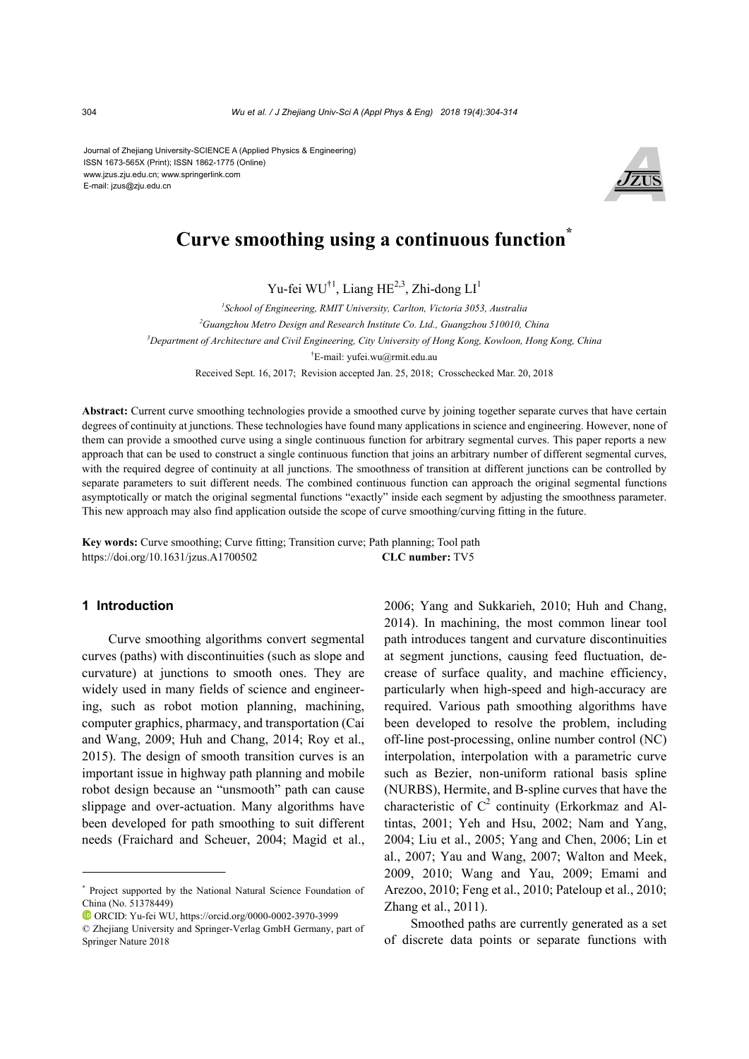Journal of Zhejiang University-SCIENCE A (Applied Physics & Engineering) ISSN 1673-565X (Print); ISSN 1862-1775 (Online) www.jzus.zju.edu.cn; www.springerlink.com E-mail: jzus@zju.edu.cn



# **Curve smoothing using a continuous function\***

Yu-fei WU<sup>†1</sup>, Liang HE<sup>2,3</sup>, Zhi-dong LI<sup>1</sup>

*1 School of Engineering, RMIT University, Carlton, Victoria 3053, Australia 2 Guangzhou Metro Design and Research Institute Co. Ltd., Guangzhou 510010, China 3 Department of Architecture and Civil Engineering, City University of Hong Kong, Kowloon, Hong Kong, China*  † E-mail: yufei.wu@rmit.edu.au Received Sept. 16, 2017; Revision accepted Jan. 25, 2018; Crosschecked Mar. 20, 2018

**Abstract:** Current curve smoothing technologies provide a smoothed curve by joining together separate curves that have certain degrees of continuity at junctions. These technologies have found many applications in science and engineering. However, none of them can provide a smoothed curve using a single continuous function for arbitrary segmental curves. This paper reports a new approach that can be used to construct a single continuous function that joins an arbitrary number of different segmental curves, with the required degree of continuity at all junctions. The smoothness of transition at different junctions can be controlled by separate parameters to suit different needs. The combined continuous function can approach the original segmental functions asymptotically or match the original segmental functions "exactly" inside each segment by adjusting the smoothness parameter. This new approach may also find application outside the scope of curve smoothing/curving fitting in the future.

**Key words:** Curve smoothing; Curve fitting; Transition curve; Path planning; Tool path https://doi.org/10.1631/jzus.A1700502 **CLC number:** TV5

#### **1 Introduction**

Curve smoothing algorithms convert segmental curves (paths) with discontinuities (such as slope and curvature) at junctions to smooth ones. They are widely used in many fields of science and engineering, such as robot motion planning, machining, computer graphics, pharmacy, and transportation (Cai and Wang, 2009; Huh and Chang, 2014; Roy et al., 2015). The design of smooth transition curves is an important issue in highway path planning and mobile robot design because an "unsmooth" path can cause slippage and over-actuation. Many algorithms have been developed for path smoothing to suit different needs (Fraichard and Scheuer, 2004; Magid et al.,

2006; Yang and Sukkarieh, 2010; Huh and Chang, 2014). In machining, the most common linear tool path introduces tangent and curvature discontinuities at segment junctions, causing feed fluctuation, decrease of surface quality, and machine efficiency, particularly when high-speed and high-accuracy are required. Various path smoothing algorithms have been developed to resolve the problem, including off-line post-processing, online number control (NC) interpolation, interpolation with a parametric curve such as Bezier, non-uniform rational basis spline (NURBS), Hermite, and B-spline curves that have the characteristic of  $C^2$  continuity (Erkorkmaz and Altintas, 2001; Yeh and Hsu, 2002; Nam and Yang, 2004; Liu et al., 2005; Yang and Chen, 2006; Lin et al., 2007; Yau and Wang, 2007; Walton and Meek, 2009, 2010; Wang and Yau, 2009; Emami and Arezoo, 2010; Feng et al., 2010; Pateloup et al., 2010; Zhang et al., 2011).

Smoothed paths are currently generated as a set of discrete data points or separate functions with

<sup>\*</sup> Project supported by the National Natural Science Foundation of China (No. 51378449)

ORCID: Yu-fei WU, https://orcid.org/0000-0002-3970-3999

<sup>©</sup> Zhejiang University and Springer-Verlag GmbH Germany, part of Springer Nature 2018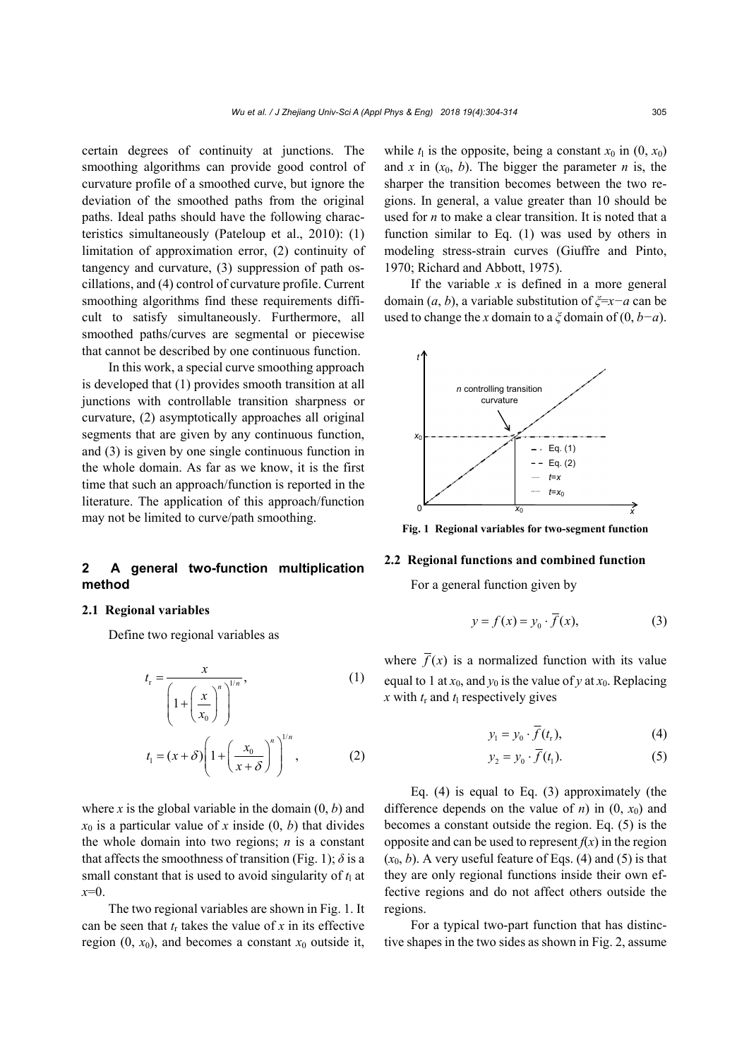certain degrees of continuity at junctions. The smoothing algorithms can provide good control of curvature profile of a smoothed curve, but ignore the deviation of the smoothed paths from the original paths. Ideal paths should have the following characteristics simultaneously (Pateloup et al., 2010): (1) limitation of approximation error, (2) continuity of tangency and curvature, (3) suppression of path oscillations, and (4) control of curvature profile. Current smoothing algorithms find these requirements difficult to satisfy simultaneously. Furthermore, all smoothed paths/curves are segmental or piecewise that cannot be described by one continuous function.

In this work, a special curve smoothing approach is developed that (1) provides smooth transition at all junctions with controllable transition sharpness or curvature, (2) asymptotically approaches all original segments that are given by any continuous function, and (3) is given by one single continuous function in the whole domain. As far as we know, it is the first time that such an approach/function is reported in the literature. The application of this approach/function may not be limited to curve/path smoothing.

## **2 A general two-function multiplication method**

#### **2.1 Regional variables**

Define two regional variables as

$$
t_{r} = \frac{x}{\left(1 + \left(\frac{x}{x_{0}}\right)^{n}\right)^{1/n}},
$$
\n
$$
t_{1} = (x + \delta) \left(1 + \left(\frac{x_{0}}{x + \delta}\right)^{n}\right)^{1/n},
$$
\n(2)

where *x* is the global variable in the domain  $(0, b)$  and  $x_0$  is a particular value of *x* inside  $(0, b)$  that divides the whole domain into two regions; *n* is a constant that affects the smoothness of transition (Fig. 1);  $\delta$  is a small constant that is used to avoid singularity of  $t_1$  at *x*=0.

The two regional variables are shown in Fig. 1. It can be seen that  $t_r$  takes the value of  $x$  in its effective region  $(0, x_0)$ , and becomes a constant  $x_0$  outside it,

while  $t_1$  is the opposite, being a constant  $x_0$  in  $(0, x_0)$ and *x* in  $(x_0, b)$ . The bigger the parameter *n* is, the sharper the transition becomes between the two regions. In general, a value greater than 10 should be used for *n* to make a clear transition. It is noted that a function similar to Eq. (1) was used by others in modeling stress-strain curves (Giuffre and Pinto, 1970; Richard and Abbott, 1975).

If the variable *x* is defined in a more general domain (*a*, *b*), a variable substitution of *ξ*=*x−a* can be used to change the *x* domain to a  $\zeta$  domain of (0, *b*−*a*).



**Fig. 1 Regional variables for two-segment function** 

#### **2.2 Regional functions and combined function**

For a general function given by

$$
y = f(x) = y_0 \cdot \overline{f}(x),\tag{3}
$$

where  $\overline{f}(x)$  is a normalized function with its value equal to 1 at  $x_0$ , and  $y_0$  is the value of y at  $x_0$ . Replacing *x* with  $t_r$  and  $t_l$  respectively gives

$$
y_1 = y_0 \cdot \overline{f}(t_r), \tag{4}
$$

$$
y_2 = y_0 \cdot f(t_1). \tag{5}
$$

Eq. (4) is equal to Eq. (3) approximately (the difference depends on the value of *n*) in  $(0, x_0)$  and becomes a constant outside the region. Eq. (5) is the opposite and can be used to represent  $f(x)$  in the region  $(x_0, b)$ . A very useful feature of Eqs. (4) and (5) is that they are only regional functions inside their own effective regions and do not affect others outside the regions.

For a typical two-part function that has distinctive shapes in the two sides as shown in Fig. 2, assume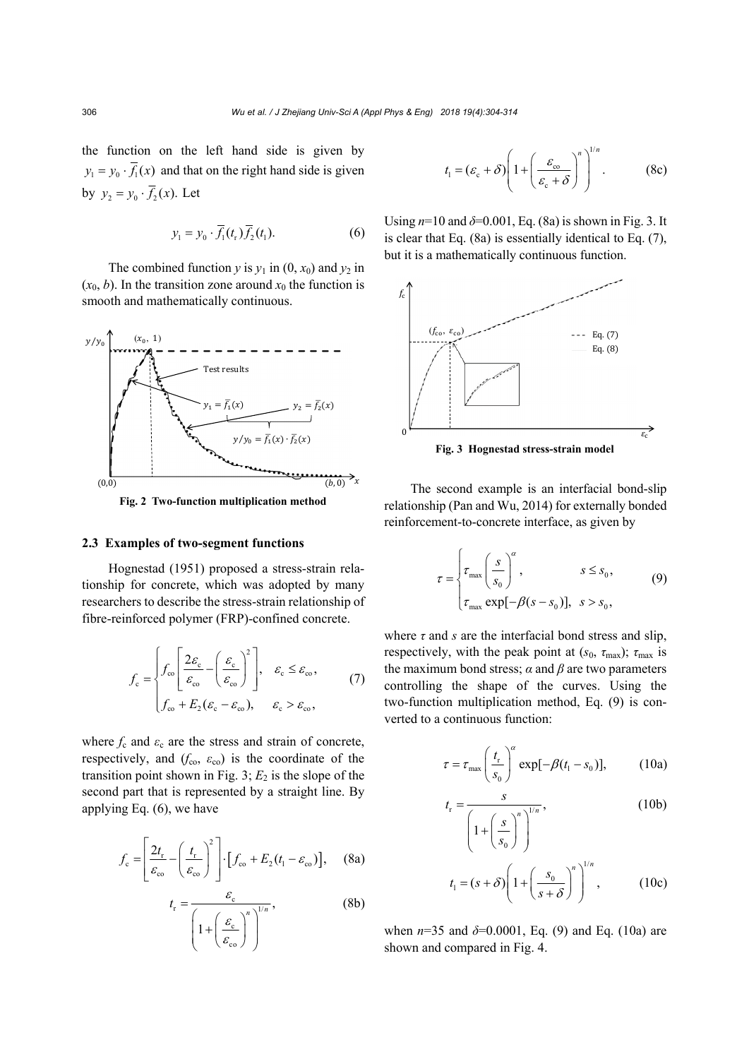the function on the left hand side is given by  $y_1 = y_0 \cdot \overline{f}_1(x)$  and that on the right hand side is given by  $y_2 = y_0 \cdot \overline{f}_2(x)$ . Let

$$
y_1 = y_0 \cdot \overline{f}_1(t_r) \overline{f}_2(t_1). \tag{6}
$$

The combined function *y* is  $y_1$  in  $(0, x_0)$  and  $y_2$  in  $(x_0, b)$ . In the transition zone around  $x_0$  the function is smooth and mathematically continuous.



**Fig. 2 Two-function multiplication method** 

#### **2.3 Examples of two-segment functions**

Hognestad (1951) proposed a stress-strain relationship for concrete, which was adopted by many researchers to describe the stress-strain relationship of fibre-reinforced polymer (FRP)-confined concrete.

$$
f_{\rm c} = \begin{cases} f_{\rm co} \left[ \frac{2\varepsilon_{\rm c}}{\varepsilon_{\rm co}} - \left( \frac{\varepsilon_{\rm c}}{\varepsilon_{\rm co}} \right)^2 \right], & \varepsilon_{\rm c} \le \varepsilon_{\rm co}, \\ f_{\rm co} + E_2(\varepsilon_{\rm c} - \varepsilon_{\rm co}), & \varepsilon_{\rm c} > \varepsilon_{\rm co}, \end{cases}
$$
(7)

where  $f_c$  and  $\varepsilon_c$  are the stress and strain of concrete, respectively, and  $(f_{\text{co}}, \varepsilon_{\text{co}})$  is the coordinate of the transition point shown in Fig. 3;  $E_2$  is the slope of the second part that is represented by a straight line. By applying Eq. (6), we have

$$
f_{\rm c} = \left[ \frac{2t_{\rm r}}{\varepsilon_{\rm co}} - \left( \frac{t_{\rm r}}{\varepsilon_{\rm co}} \right)^2 \right] \cdot \left[ f_{\rm co} + E_2(t_1 - \varepsilon_{\rm co}) \right], \quad \text{(8a)}
$$

$$
t_{\rm r} = \frac{\varepsilon_{\rm c}}{\left(1 + \left(\frac{\varepsilon_{\rm c}}{\varepsilon_{\rm co}}\right)^n\right)^{1/n}},\tag{8b}
$$

$$
t_1 = (\varepsilon_{\rm c} + \delta) \left( 1 + \left( \frac{\varepsilon_{\rm co}}{\varepsilon_{\rm c} + \delta} \right)^n \right)^{1/n} . \tag{8c}
$$

Using  $n=10$  and  $\delta=0.001$ , Eq. (8a) is shown in Fig. 3. It is clear that Eq. (8a) is essentially identical to Eq. (7), but it is a mathematically continuous function.



**Fig. 3 Hognestad stress-strain model** 

The second example is an interfacial bond-slip relationship (Pan and Wu, 2014) for externally bonded reinforcement-to-concrete interface, as given by

$$
\tau = \begin{cases} \tau_{\text{max}} \left( \frac{s}{s_0} \right)^{\alpha}, & s \le s_0, \\ \tau_{\text{max}} \exp[-\beta(s - s_0)], & s > s_0, \end{cases}
$$
(9)

where  $\tau$  and  $s$  are the interfacial bond stress and slip, respectively, with the peak point at  $(s_0, \tau_{\text{max}})$ ;  $\tau_{\text{max}}$  is the maximum bond stress;  $\alpha$  and  $\beta$  are two parameters controlling the shape of the curves. Using the two-function multiplication method, Eq. (9) is converted to a continuous function:

$$
\tau = \tau_{\text{max}} \left( \frac{t_{\text{r}}}{s_0} \right)^{\alpha} \exp[-\beta(t_1 - s_0)], \tag{10a}
$$

$$
t_{\rm r} = \frac{s}{\left(1 + \left(\frac{s}{s_0}\right)^n\right)^{1/n}},\tag{10b}
$$

$$
t_1 = (s + \delta) \left( 1 + \left( \frac{s_0}{s + \delta} \right)^n \right)^{1/n}, \quad (10c)
$$

when  $n=35$  and  $\delta=0.0001$ , Eq. (9) and Eq. (10a) are shown and compared in Fig. 4.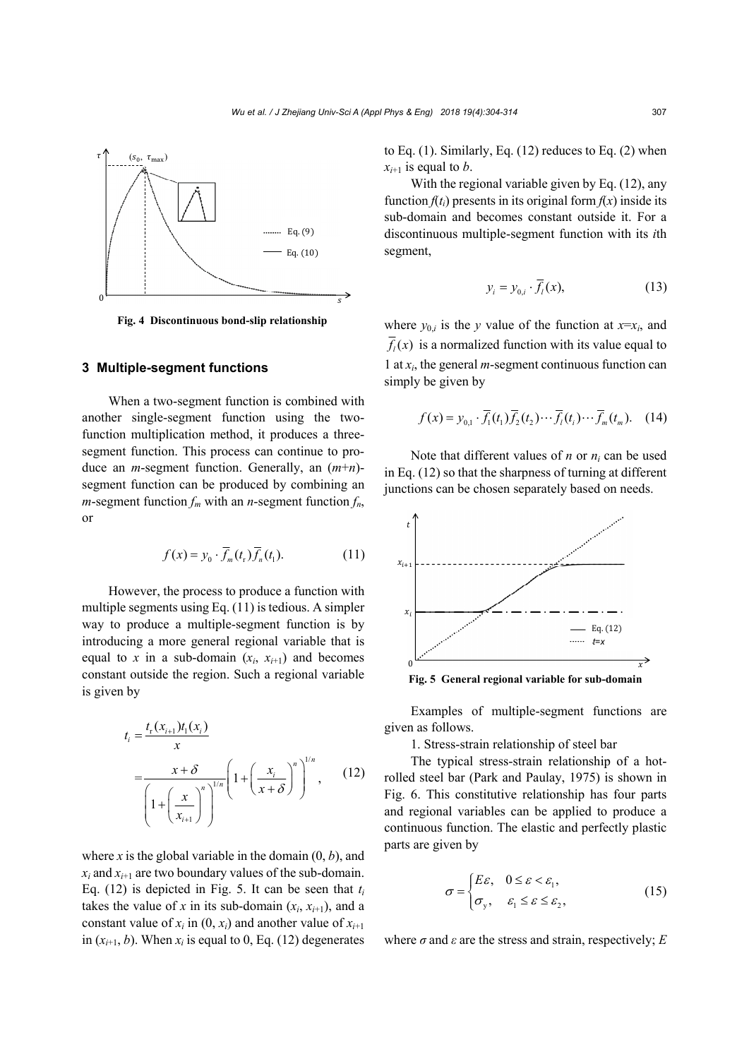

**Fig. 4 Discontinuous bond-slip relationship** 

#### **3 Multiple-segment functions**

When a two-segment function is combined with another single-segment function using the twofunction multiplication method, it produces a threesegment function. This process can continue to produce an *m*-segment function. Generally, an (*m*+*n*) segment function can be produced by combining an *m*-segment function  $f_m$  with an *n*-segment function  $f_n$ , or

$$
f(x) = y_0 \cdot \overline{f}_m(t_r) \overline{f}_n(t_1).
$$
 (11)

However, the process to produce a function with multiple segments using Eq. (11) is tedious. A simpler way to produce a multiple-segment function is by introducing a more general regional variable that is equal to x in a sub-domain  $(x_i, x_{i+1})$  and becomes constant outside the region. Such a regional variable is given by

$$
t_i = \frac{t_r(x_{i+1})t_1(x_i)}{x}
$$
  
= 
$$
\frac{x + \delta}{\left(1 + \left(\frac{x}{x_{i+1}}\right)^n\right)^{1/n}} \left(1 + \left(\frac{x_i}{x + \delta}\right)^n\right)^{1/n},
$$
 (12)

where *x* is the global variable in the domain  $(0, b)$ , and  $x_i$  and  $x_{i+1}$  are two boundary values of the sub-domain. Eq.  $(12)$  is depicted in Fig. 5. It can be seen that  $t_i$ takes the value of *x* in its sub-domain  $(x_i, x_{i+1})$ , and a constant value of  $x_i$  in  $(0, x_i)$  and another value of  $x_{i+1}$ in  $(x_{i+1}, b)$ . When  $x_i$  is equal to 0, Eq. (12) degenerates to Eq.  $(1)$ . Similarly, Eq.  $(12)$  reduces to Eq.  $(2)$  when  $x_{i+1}$  is equal to *b*.

With the regional variable given by Eq. (12), any function  $f(t_i)$  presents in its original form  $f(x)$  inside its sub-domain and becomes constant outside it. For a discontinuous multiple-segment function with its *i*th segment,

$$
y_i = y_{0,i} \cdot \overline{f}_i(x), \tag{13}
$$

where  $y_{0,i}$  is the *y* value of the function at  $x=x_i$ , and  $\overline{f}_i(x)$  is a normalized function with its value equal to 1 at  $x_i$ , the general *m*-segment continuous function can simply be given by

$$
f(x) = y_{0,1} \cdot \overline{f_1}(t_1) \overline{f_2}(t_2) \cdots \overline{f_l}(t_i) \cdots \overline{f_m}(t_m).
$$
 (14)

Note that different values of *n* or *ni* can be used in Eq. (12) so that the sharpness of turning at different junctions can be chosen separately based on needs.



**Fig. 5 General regional variable for sub-domain** 

Examples of multiple-segment functions are given as follows.

1. Stress-strain relationship of steel bar

The typical stress-strain relationship of a hotrolled steel bar (Park and Paulay, 1975) is shown in Fig. 6. This constitutive relationship has four parts and regional variables can be applied to produce a continuous function. The elastic and perfectly plastic parts are given by

$$
\sigma = \begin{cases} E\varepsilon, & 0 \le \varepsilon < \varepsilon_1, \\ \sigma_y, & \varepsilon_1 \le \varepsilon \le \varepsilon_2, \end{cases}
$$
 (15)

where  $\sigma$  and  $\varepsilon$  are the stress and strain, respectively; *E*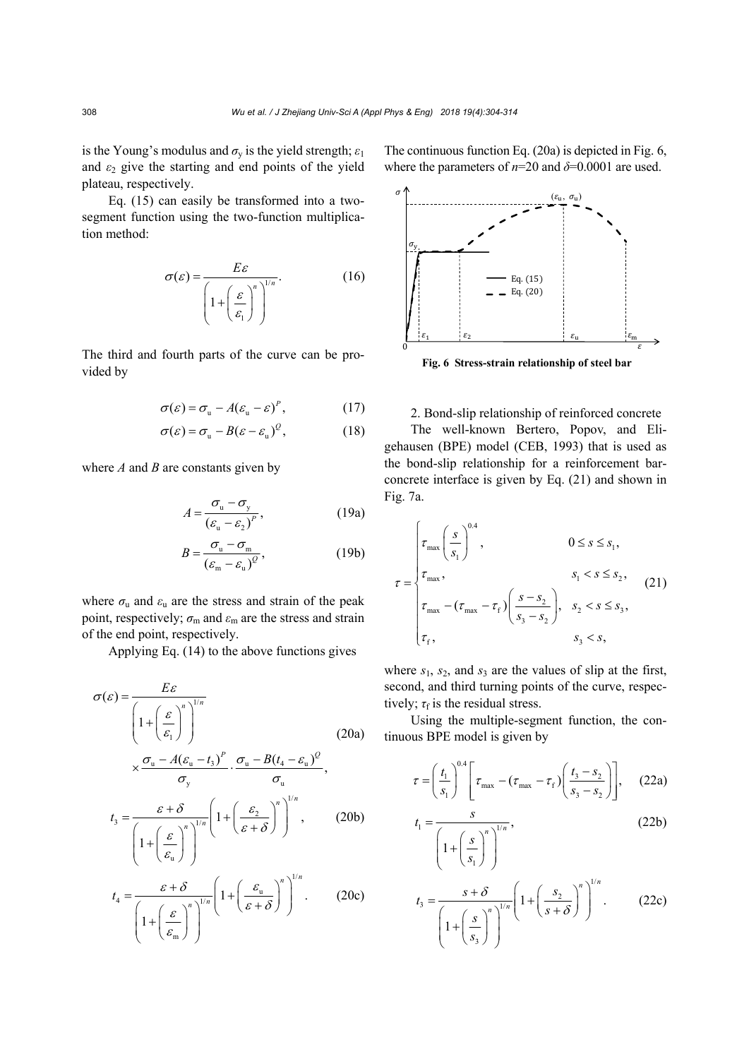is the Young's modulus and  $\sigma_y$  is the yield strength;  $\varepsilon_1$ and  $\varepsilon_2$  give the starting and end points of the yield plateau, respectively.

Eq. (15) can easily be transformed into a twosegment function using the two-function multiplication method:

$$
\sigma(\varepsilon) = \frac{E\varepsilon}{\left(1 + \left(\frac{\varepsilon}{\varepsilon_1}\right)^n\right)^{1/n}}.\tag{16}
$$

The third and fourth parts of the curve can be provided by

$$
\sigma(\varepsilon) = \sigma_{\rm u} - A(\varepsilon_{\rm u} - \varepsilon)^P, \qquad (17)
$$

$$
\sigma(\varepsilon) = \sigma_{\rm u} - B(\varepsilon - \varepsilon_{\rm u})^{\mathcal{Q}},\tag{18}
$$

where *A* and *B* are constants given by

$$
A = \frac{\sigma_{\rm u} - \sigma_{\rm y}}{\left(\varepsilon_{\rm u} - \varepsilon_{\rm 2}\right)^p},\tag{19a}
$$

$$
B = \frac{\sigma_{\rm u} - \sigma_{\rm m}}{(\varepsilon_{\rm m} - \varepsilon_{\rm u})^{\mathcal{Q}}},\tag{19b}
$$

where  $\sigma_{\rm u}$  and  $\varepsilon_{\rm u}$  are the stress and strain of the peak point, respectively;  $\sigma_{\rm m}$  and  $\varepsilon_{\rm m}$  are the stress and strain of the end point, respectively.

Applying Eq. (14) to the above functions gives

$$
\sigma(\varepsilon) = \frac{E\varepsilon}{\left(1 + \left(\frac{\varepsilon}{\varepsilon_1}\right)^n\right)^{1/n}}
$$
\n
$$
\times \frac{\sigma_u - A(\varepsilon_u - t_3)^p}{\sigma_y} \cdot \frac{\sigma_u - B(t_4 - \varepsilon_u)^q}{\sigma_u},
$$
\n
$$
t_3 = \frac{\varepsilon + \delta}{\left(1 + \left(\frac{\varepsilon_2}{\sigma_u}\right)^n\right)^{1/n}},
$$
\n(20b)

$$
t_3 = \frac{\varepsilon + \delta}{\left(1 + \left(\frac{\varepsilon}{\varepsilon_u}\right)^n\right)^{1/n}} \left(1 + \left(\frac{\varepsilon_2}{\varepsilon + \delta}\right)^n\right)^{1/n},\qquad(20b)
$$

$$
t_4 = \frac{\varepsilon + \delta}{\left(1 + \left(\frac{\varepsilon}{\varepsilon_m}\right)^n\right)^{1/n}} \left(1 + \left(\frac{\varepsilon_u}{\varepsilon + \delta}\right)^n\right)^{1/n}.\tag{20c}
$$

The continuous function Eq. (20a) is depicted in Fig. 6, where the parameters of  $n=20$  and  $\delta=0.0001$  are used.



**Fig. 6 Stress-strain relationship of steel bar**

2. Bond-slip relationship of reinforced concrete The well-known Bertero, Popov, and Eligehausen (BPE) model (CEB, 1993) that is used as the bond-slip relationship for a reinforcement barconcrete interface is given by Eq. (21) and shown in Fig. 7a.

$$
\tau = \begin{cases} \tau_{\max} \left( \frac{s}{s_1} \right)^{0.4}, & 0 \le s \le s_1, \\ \tau_{\max}, & s_1 < s \le s_2, \\ \tau_{\max} - (\tau_{\max} - \tau_f) \left( \frac{s - s_2}{s_3 - s_2} \right), & s_2 < s \le s_3, \\ \tau_f, & s_3 < s, \end{cases}
$$
(21)

where  $s_1$ ,  $s_2$ , and  $s_3$  are the values of slip at the first, second, and third turning points of the curve, respectively;  $\tau_f$  is the residual stress.

Using the multiple-segment function, the continuous BPE model is given by

$$
\tau = \left(\frac{t_1}{s_1}\right)^{0.4} \left[\tau_{\text{max}} - (\tau_{\text{max}} - \tau_{\text{f}}) \left(\frac{t_3 - s_2}{s_3 - s_2}\right)\right], \quad (22a)
$$

$$
t_1 = \frac{s}{\left(1 + \left(\frac{s}{s_1}\right)^n\right)^{1/n}},\tag{22b}
$$

$$
t_3 = \frac{s + \delta}{\left(1 + \left(\frac{s}{s_3}\right)^n\right)^{1/n}} \left(1 + \left(\frac{s_2}{s + \delta}\right)^n\right)^{1/n}.\tag{22c}
$$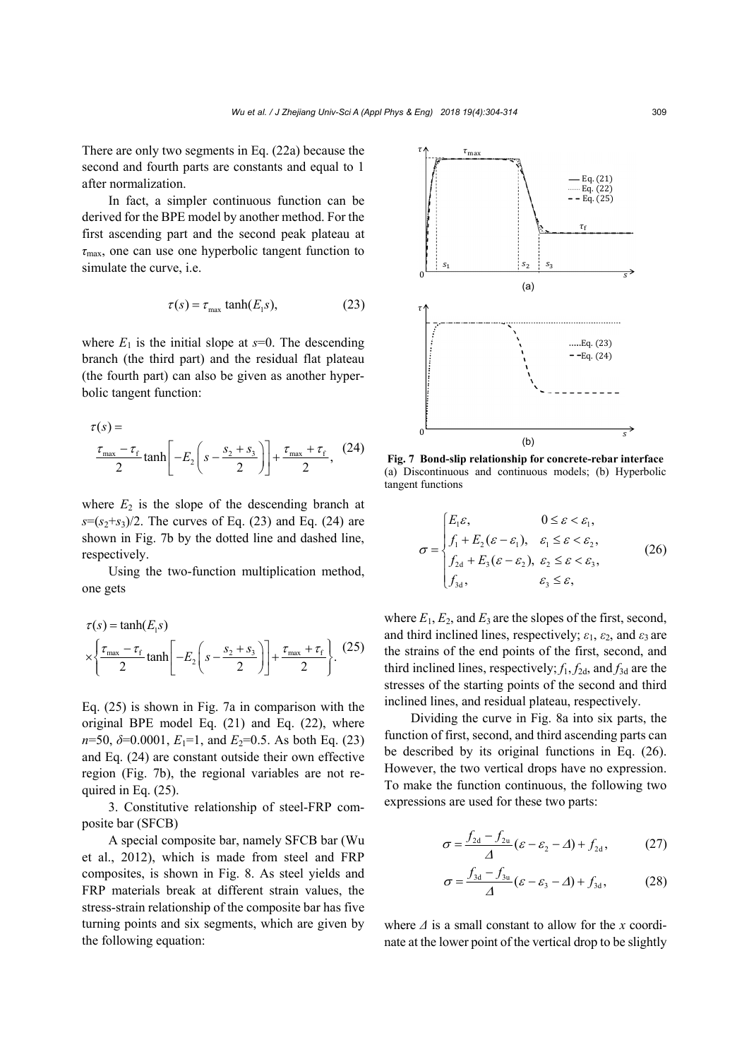There are only two segments in Eq. (22a) because the second and fourth parts are constants and equal to 1 after normalization.

In fact, a simpler continuous function can be derived for the BPE model by another method. For the first ascending part and the second peak plateau at *τ*max, one can use one hyperbolic tangent function to simulate the curve, i.e.

$$
\tau(s) = \tau_{\text{max}} \tanh(E_1 s), \tag{23}
$$

where  $E_1$  is the initial slope at  $s=0$ . The descending branch (the third part) and the residual flat plateau (the fourth part) can also be given as another hyperbolic tangent function:

$$
\tau(s) = \frac{\tau_{\text{max}} - \tau_{\text{f}}}{2} \tanh\left[-E_2\left(s - \frac{s_2 + s_3}{2}\right)\right] + \frac{\tau_{\text{max}} + \tau_{\text{f}}}{2}, \quad (24)
$$

where  $E_2$  is the slope of the descending branch at  $s=(s_2+s_3)/2$ . The curves of Eq. (23) and Eq. (24) are shown in Fig. 7b by the dotted line and dashed line, respectively.

Using the two-function multiplication method, one gets

$$
\tau(s) = \tanh(E_1 s)
$$
  
 
$$
\times \left\{ \frac{\tau_{\text{max}} - \tau_f}{2} \tanh\left[-E_2 \left(s - \frac{s_2 + s_3}{2}\right)\right] + \frac{\tau_{\text{max}} + \tau_f}{2} \right\}. (25)
$$

Eq. (25) is shown in Fig. 7a in comparison with the original BPE model Eq. (21) and Eq. (22), where  $n=50$ ,  $\delta=0.0001$ ,  $E_1=1$ , and  $E_2=0.5$ . As both Eq. (23) and Eq. (24) are constant outside their own effective region (Fig. 7b), the regional variables are not required in Eq. (25).

3. Constitutive relationship of steel-FRP composite bar (SFCB)

A special composite bar, namely SFCB bar (Wu et al., 2012), which is made from steel and FRP composites, is shown in Fig. 8. As steel yields and FRP materials break at different strain values, the stress-strain relationship of the composite bar has five turning points and six segments, which are given by the following equation:



**Fig. 7 Bond-slip relationship for concrete-rebar interface**  (a) Discontinuous and continuous models; (b) Hyperbolic tangent functions

$$
\sigma = \begin{cases} E_1 \varepsilon, & 0 \le \varepsilon < \varepsilon_1, \\ f_1 + E_2(\varepsilon - \varepsilon_1), & \varepsilon_1 \le \varepsilon < \varepsilon_2, \\ f_{2d} + E_3(\varepsilon - \varepsilon_2), & \varepsilon_2 \le \varepsilon < \varepsilon_3, \\ f_{3d}, & \varepsilon_3 \le \varepsilon, \end{cases}
$$
 (26)

where  $E_1, E_2$ , and  $E_3$  are the slopes of the first, second, and third inclined lines, respectively;  $\varepsilon_1$ ,  $\varepsilon_2$ , and  $\varepsilon_3$  are the strains of the end points of the first, second, and third inclined lines, respectively;  $f_1$ ,  $f_{2d}$ , and  $f_{3d}$  are the stresses of the starting points of the second and third inclined lines, and residual plateau, respectively.

Dividing the curve in Fig. 8a into six parts, the function of first, second, and third ascending parts can be described by its original functions in Eq. (26). However, the two vertical drops have no expression. To make the function continuous, the following two expressions are used for these two parts:

$$
\sigma = \frac{f_{2d} - f_{2u}}{\Delta} (\varepsilon - \varepsilon_2 - \Delta) + f_{2d}, \qquad (27)
$$

$$
\sigma = \frac{f_{3d} - f_{3u}}{\Delta} (\varepsilon - \varepsilon_3 - \Delta) + f_{3d}, \qquad (28)
$$

where *Δ* is a small constant to allow for the *x* coordinate at the lower point of the vertical drop to be slightly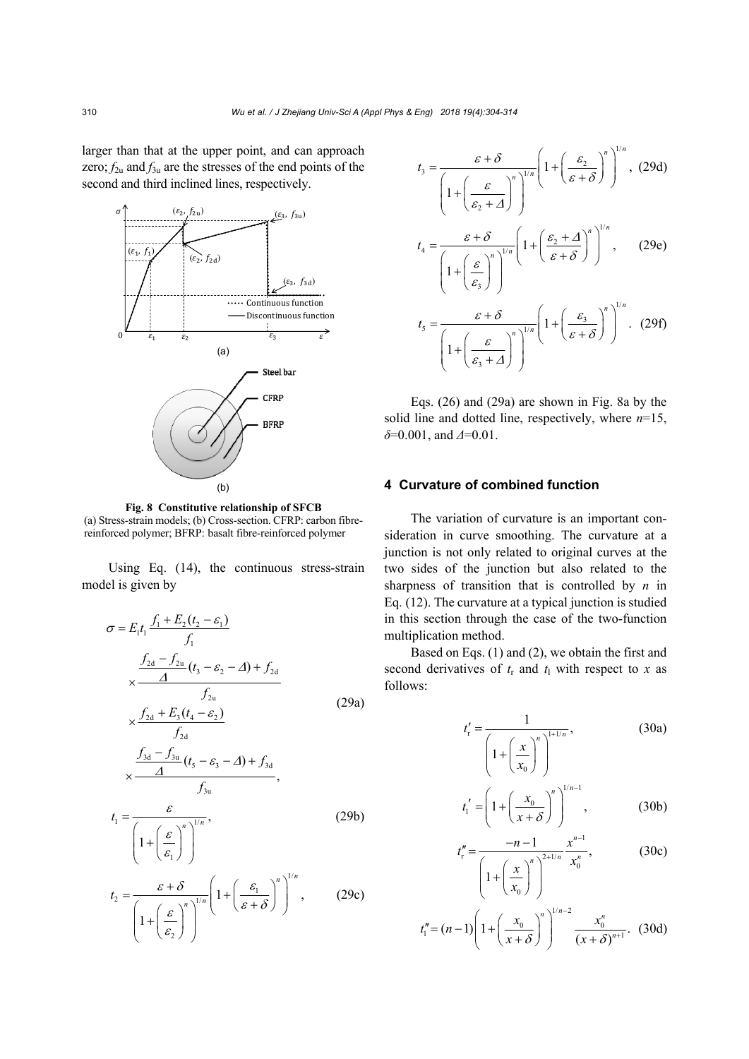larger than that at the upper point, and can approach zero;  $f_{2u}$  and  $f_{3u}$  are the stresses of the end points of the second and third inclined lines, respectively.



**Fig. 8 Constitutive relationship of SFCB**  (a) Stress-strain models; (b) Cross-section. CFRP: carbon fibrereinforced polymer; BFRP: basalt fibre-reinforced polymer

Using Eq. (14), the continuous stress-strain model is given by

$$
\sigma = E_1 t_1 \frac{f_1 + E_2(t_2 - \varepsilon_1)}{f_1}
$$
  
 
$$
\times \frac{\frac{f_{2d} - f_{2u}}{A}(t_3 - \varepsilon_2 - \Delta) + f_{2d}}{f_{2u}}
$$
  
 
$$
\times \frac{f_{2d} + E_3(t_4 - \varepsilon_2)}{(29a)}
$$
 (29a)

$$
f_{2d}
$$
\n
$$
\times \frac{f_{3d} - f_{3u}}{\Delta} (t_5 - \varepsilon_3 - \Delta) + f_{3d}
$$
\n
$$
f_{3u}
$$

$$
t_1 = \frac{\varepsilon}{\left(1 + \left(\frac{\varepsilon}{\varepsilon_1}\right)^n\right)^{1/n}},\tag{29b}
$$

$$
t_2 = \frac{\varepsilon + \delta}{\left(1 + \left(\frac{\varepsilon}{\varepsilon_2}\right)^n\right)^{1/n}} \left(1 + \left(\frac{\varepsilon_1}{\varepsilon + \delta}\right)^n\right)^{1/n},\qquad(29c)
$$

$$
t_{3} = \frac{\varepsilon + \delta}{\left(1 + \left(\frac{\varepsilon}{\varepsilon_{2} + \Delta}\right)^{n}\right)^{1/n}} \left(1 + \left(\frac{\varepsilon_{2}}{\varepsilon + \delta}\right)^{n}\right)^{1/n}, (29d)
$$
  

$$
t_{4} = \frac{\varepsilon + \delta}{\left(1 + \left(\frac{\varepsilon}{\varepsilon_{3}}\right)^{n}\right)^{1/n}} \left(1 + \left(\frac{\varepsilon_{2} + \Delta}{\varepsilon + \delta}\right)^{n}\right)^{1/n}, (29e)
$$
  

$$
t_{5} = \frac{\varepsilon + \delta}{\left(1 + \left(\frac{\varepsilon}{\varepsilon_{3} + \Delta}\right)^{n}\right)^{1/n}} \left(1 + \left(\frac{\varepsilon_{3}}{\varepsilon + \delta}\right)^{n}\right)^{1/n}.
$$
 (29f)

Eqs. (26) and (29a) are shown in Fig. 8a by the solid line and dotted line, respectively, where *n*=15, *δ*=0.001, and *Δ*=0.01.

## **4 Curvature of combined function**

The variation of curvature is an important consideration in curve smoothing. The curvature at a junction is not only related to original curves at the two sides of the junction but also related to the sharpness of transition that is controlled by *n* in Eq. (12). The curvature at a typical junction is studied in this section through the case of the two-function multiplication method.

Based on Eqs. (1) and (2), we obtain the first and second derivatives of  $t_r$  and  $t_l$  with respect to *x* as follows:

$$
t'_{\rm r} = \frac{1}{\left(1 + \left(\frac{x}{x_0}\right)^n\right)^{1 + 1/n}},\tag{30a}
$$

$$
t_1' = \left(1 + \left(\frac{x_0}{x + \delta}\right)^n\right)^{1/n - 1},\tag{30b}
$$

$$
t''_{r} = \frac{-n-1}{\left(1 + \left(\frac{x}{x_0}\right)^n\right)^{2+1/n}} \frac{x^{n-1}}{x_0^n},
$$
 (30c)

$$
t_1'' = (n-1) \left( 1 + \left( \frac{x_0}{x + \delta} \right)^n \right)^{1/n-2} \frac{x_0^n}{(x + \delta)^{n+1}}.
$$
 (30d)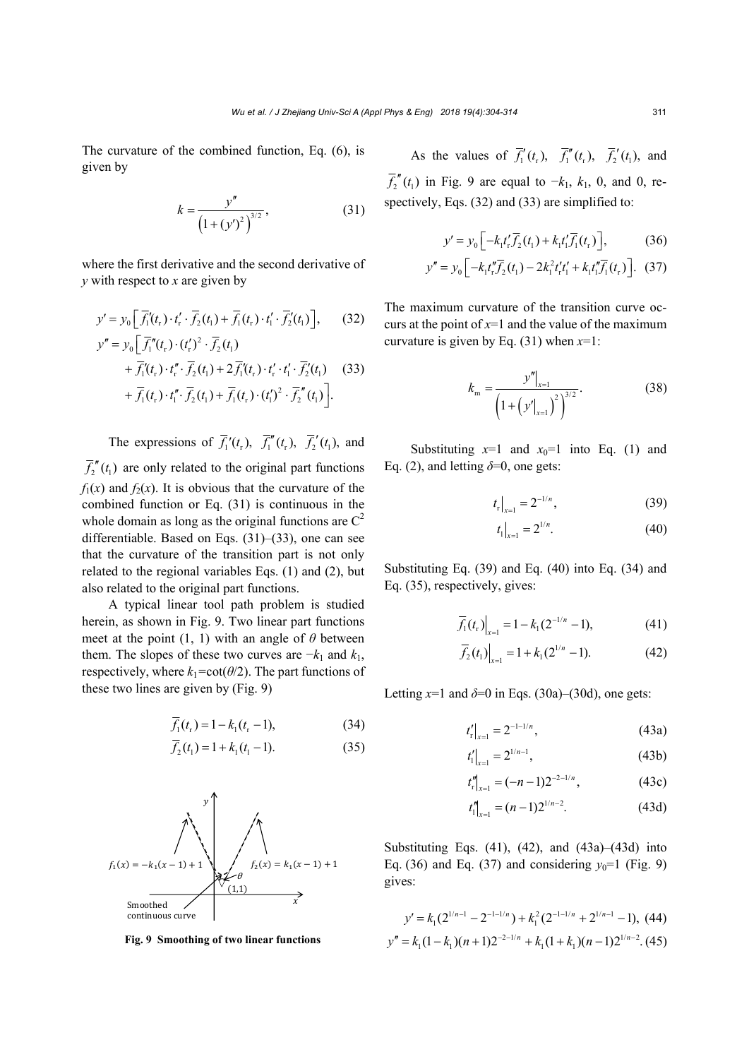The curvature of the combined function, Eq. (6), is given by

$$
k = \frac{y''}{\left(1 + (y')^2\right)^{3/2}},\tag{31}
$$

where the first derivative and the second derivative of *y* with respect to *x* are given by

$$
y' = y_0 \left[ \overline{f_1'}(t_r) \cdot t_r' \cdot \overline{f_2}(t_1) + \overline{f_1}(t_r) \cdot t_1' \cdot \overline{f_2'}(t_1) \right], \qquad (32)
$$

$$
y'' = y_0 \left[ \overline{f_1}''(t_r) \cdot (t'_r)^2 \cdot \overline{f_2}(t_1) + \overline{f_1}'(t_r) \cdot t''_r \cdot \overline{f_2}(t_1) + 2 \overline{f_1}'(t_r) \cdot t'_r \cdot t'_r \cdot \overline{f_2}'(t_1) + \overline{f_1}(t_r) \cdot t''_r \cdot \overline{f_2}(t_1) + \overline{f_1}(t_r) \cdot (t'_1)^2 \cdot \overline{f_2}''(t_1) \right].
$$
 (33)

The expressions of  $\overline{f}_1'(t_1), \overline{f}_1''(t_1), \overline{f}_2'(t_1)$ , and  $\bar{f}_i''(t_1)$  are only related to the original part functions  $f_1(x)$  and  $f_2(x)$ . It is obvious that the curvature of the combined function or Eq. (31) is continuous in the whole domain as long as the original functions are  $C<sup>2</sup>$ differentiable. Based on Eqs. (31)–(33), one can see that the curvature of the transition part is not only related to the regional variables Eqs. (1) and (2), but also related to the original part functions.

A typical linear tool path problem is studied herein, as shown in Fig. 9. Two linear part functions meet at the point  $(1, 1)$  with an angle of  $\theta$  between them. The slopes of these two curves are  $-k_1$  and  $k_1$ , respectively, where  $k_1$ =cot( $\theta$ /2). The part functions of these two lines are given by (Fig. 9)

$$
f_1(t_r) = 1 - k_1(t_r - 1),
$$
 (34)

$$
f_2(t_1) = 1 + k_1(t_1 - 1). \tag{35}
$$



**Fig. 9 Smoothing of two linear functions** 

As the values of  $\overline{f}_1'(t_1), \overline{f}_1''(t_1), \overline{f}_2'(t_1)$ , and  $\overline{f}_2''(t_1)$  in Fig. 9 are equal to  $-k_1$ ,  $k_1$ , 0, and 0, respectively, Eqs. (32) and (33) are simplified to:

$$
y' = y_0 \left[ -k_1 t'_r \overline{f}_2(t_1) + k_1 t'_1 \overline{f}_1(t_r) \right],
$$
 (36)

$$
y'' = y_0 \left[ -k_1 t''_1 \overline{f}_2(t_1) - 2k_1^2 t'_1 t'_1 + k_1 t''_1 \overline{f}_1(t_r) \right]. \tag{37}
$$

The maximum curvature of the transition curve occurs at the point of  $x=1$  and the value of the maximum curvature is given by Eq.  $(31)$  when  $x=1$ :

$$
k_{\rm m} = \frac{y''|_{x=1}}{\left(1 + \left(y'|_{x=1}\right)^2\right)^{3/2}}.\tag{38}
$$

Substituting  $x=1$  and  $x_0=1$  into Eq. (1) and Eq. (2), and letting  $\delta = 0$ , one gets:

$$
t_r\big|_{x=1} = 2^{-1/n},\tag{39}
$$

$$
t_1\big|_{x=1} = 2^{1/n}.\tag{40}
$$

Substituting Eq. (39) and Eq. (40) into Eq. (34) and Eq. (35), respectively, gives:

$$
\overline{f}_1(t_r)\Big|_{x=1} = 1 - k_1(2^{-1/n} - 1), \tag{41}
$$

$$
\overline{f}_2(t_1)\Big|_{x=1} = 1 + k_1(2^{1/n} - 1). \tag{42}
$$

Letting  $x=1$  and  $\delta=0$  in Eqs. (30a)–(30d), one gets:

$$
t'_{r}|_{x=1} = 2^{-1-1/n}, \tag{43a}
$$

$$
t_1'|_{x=1} = 2^{1/n-1}, \tag{43b}
$$

$$
t_r''\big|_{x=1} = (-n-1)2^{-2-1/n},\tag{43c}
$$

$$
t_1''|_{x=1} = (n-1)2^{1/n-2}.
$$
 (43d)

Substituting Eqs.  $(41)$ ,  $(42)$ , and  $(43a)$ – $(43d)$  into Eq. (36) and Eq. (37) and considering  $y_0=1$  (Fig. 9) gives:

$$
y' = k_1(2^{1/n-1} - 2^{-1-1/n}) + k_1^2(2^{-1-1/n} + 2^{1/n-1} - 1), \ (44)
$$
  

$$
y'' = k_1(1 - k_1)(n+1)2^{-2-1/n} + k_1(1 + k_1)(n-1)2^{1/n-2}. \ (45)
$$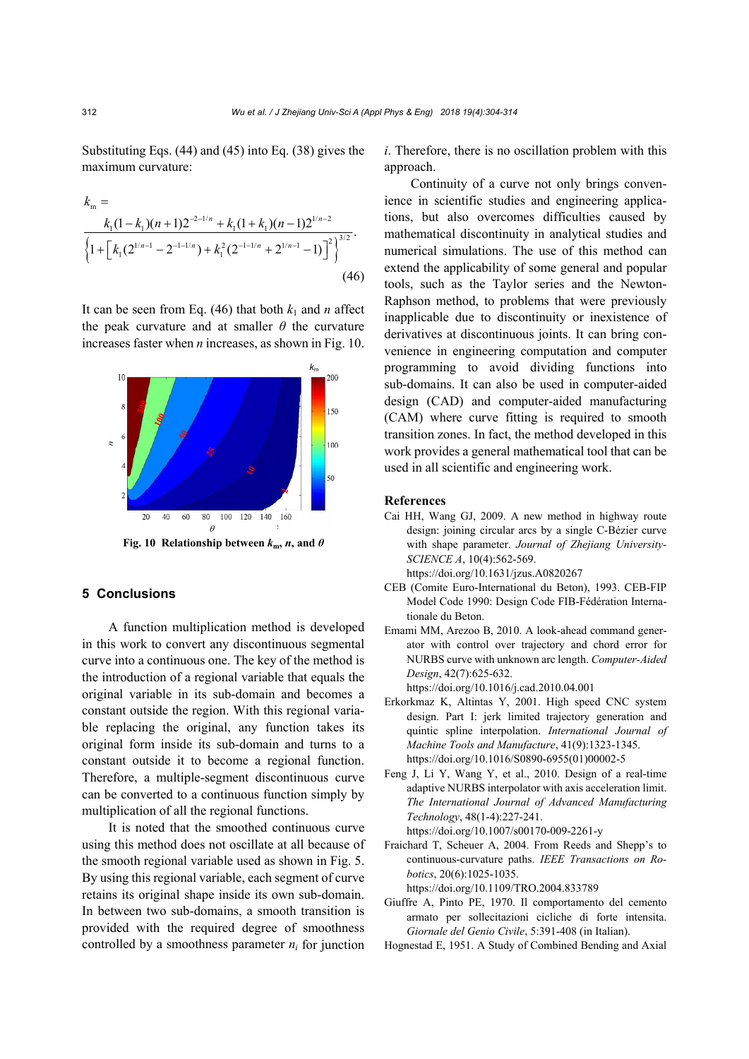Substituting Eqs. (44) and (45) into Eq. (38) gives the maximum curvature:

$$
k_{\rm m} =
$$
\n
$$
\frac{k_1(1-k_1)(n+1)2^{-2-1/n} + k_1(1+k_1)(n-1)2^{1/n-2}}{\left\{1+\left[k_1(2^{1/n-1}-2^{-1-1/n}) + k_1^2(2^{-1-1/n}+2^{1/n-1}-1)\right]^2\right\}^{3/2}}.
$$
\n(46)

It can be seen from Eq. (46) that both  $k_1$  and *n* affect the peak curvature and at smaller  $\theta$  the curvature increases faster when *n* increases, as shown in Fig. 10.



**Fig. 10 Relationship between**  $k_m$ **,** *n***, and**  $\theta$ 

### **5 Conclusions**

A function multiplication method is developed in this work to convert any discontinuous segmental curve into a continuous one. The key of the method is the introduction of a regional variable that equals the original variable in its sub-domain and becomes a constant outside the region. With this regional variable replacing the original, any function takes its original form inside its sub-domain and turns to a constant outside it to become a regional function. Therefore, a multiple-segment discontinuous curve can be converted to a continuous function simply by multiplication of all the regional functions.

It is noted that the smoothed continuous curve using this method does not oscillate at all because of the smooth regional variable used as shown in Fig. 5. By using this regional variable, each segment of curve retains its original shape inside its own sub-domain. In between two sub-domains, a smooth transition is provided with the required degree of smoothness controlled by a smoothness parameter  $n_i$  for junction *i*. Therefore, there is no oscillation problem with this approach.

Continuity of a curve not only brings convenience in scientific studies and engineering applications, but also overcomes difficulties caused by mathematical discontinuity in analytical studies and numerical simulations. The use of this method can extend the applicability of some general and popular tools, such as the Taylor series and the Newton-Raphson method, to problems that were previously inapplicable due to discontinuity or inexistence of derivatives at discontinuous joints. It can bring convenience in engineering computation and computer programming to avoid dividing functions into sub-domains. It can also be used in computer-aided design (CAD) and computer-aided manufacturing (CAM) where curve fitting is required to smooth transition zones. In fact, the method developed in this work provides a general mathematical tool that can be used in all scientific and engineering work.

#### **References**

- Cai HH, Wang GJ, 2009. A new method in highway route design: joining circular arcs by a single C-Bézier curve with shape parameter. *Journal of Zhejiang University-SCIENCE A*, 10(4):562-569. https://doi.org/10.1631/jzus.A0820267
- CEB (Comite Euro-International du Beton), 1993. CEB-FIP Model Code 1990: Design Code FIB-Fédération Internationale du Beton.
- Emami MM, Arezoo B, 2010. A look-ahead command generator with control over trajectory and chord error for NURBS curve with unknown arc length. *Computer-Aided Design*, 42(7):625-632.

https://doi.org/10.1016/j.cad.2010.04.001

- Erkorkmaz K, Altintas Y, 2001. High speed CNC system design. Part I: jerk limited trajectory generation and quintic spline interpolation. *International Journal of Machine Tools and Manufacture*, 41(9):1323-1345. https://doi.org/10.1016/S0890-6955(01)00002-5
- Feng J, Li Y, Wang Y, et al., 2010. Design of a real-time adaptive NURBS interpolator with axis acceleration limit. *The International Journal of Advanced Manufacturing Technology*, 48(1-4):227-241.

 https://doi.org/10.1007/s00170-009-2261-y Fraichard T, Scheuer A, 2004. From Reeds and Shepp's to

continuous-curvature paths. *IEEE Transactions on Robotics*, 20(6):1025-1035.

https://doi.org/10.1109/TRO.2004.833789

- Giuffre A, Pinto PE, 1970. Il comportamento del cemento armato per sollecitazioni cicliche di forte intensita. *Giornale del Genio Civile*, 5:391-408 (in Italian).
- Hognestad E, 1951. A Study of Combined Bending and Axial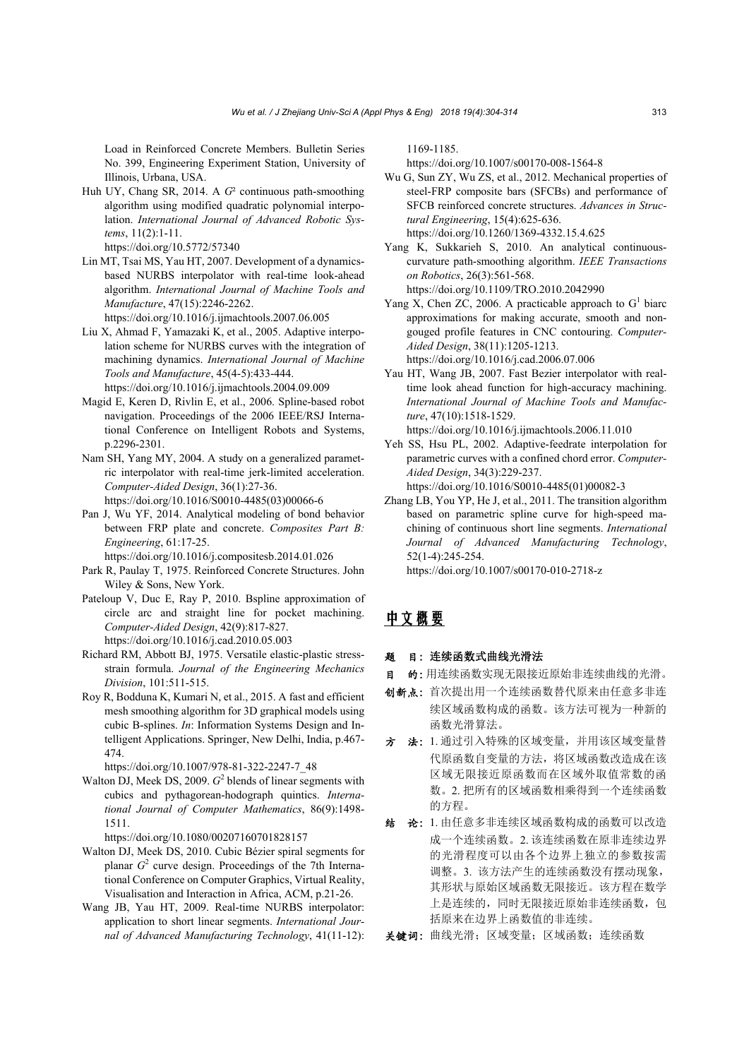Load in Reinforced Concrete Members. Bulletin Series No. 399, Engineering Experiment Station, University of Illinois, Urbana, USA.

Huh UY, Chang SR, 2014. A *G*² continuous path-smoothing algorithm using modified quadratic polynomial interpolation. *International Journal of Advanced Robotic Systems*, 11(2):1-11.

https://doi.org/10.5772/57340

- Lin MT, Tsai MS, Yau HT, 2007. Development of a dynamicsbased NURBS interpolator with real-time look-ahead algorithm. *International Journal of Machine Tools and Manufacture*, 47(15):2246-2262. https://doi.org/10.1016/j.ijmachtools.2007.06.005
- Liu X, Ahmad F, Yamazaki K, et al., 2005. Adaptive interpolation scheme for NURBS curves with the integration of machining dynamics. *International Journal of Machine Tools and Manufacture*, 45(4-5):433-444. https://doi.org/10.1016/j.ijmachtools.2004.09.009
- Magid E, Keren D, Rivlin E, et al., 2006. Spline-based robot navigation. Proceedings of the 2006 IEEE/RSJ International Conference on Intelligent Robots and Systems, p.2296-2301.
- Nam SH, Yang MY, 2004. A study on a generalized parametric interpolator with real-time jerk-limited acceleration. *Computer-Aided Design*, 36(1):27-36. https://doi.org/10.1016/S0010-4485(03)00066-6
- Pan J, Wu YF, 2014. Analytical modeling of bond behavior between FRP plate and concrete. *Composites Part B: Engineering*, 61:17-25.

https://doi.org/10.1016/j.compositesb.2014.01.026

- Park R, Paulay T, 1975. Reinforced Concrete Structures. John Wiley & Sons, New York.
- Pateloup V, Duc E, Ray P, 2010. Bspline approximation of circle arc and straight line for pocket machining. *Computer-Aided Design*, 42(9):817-827. https://doi.org/10.1016/j.cad.2010.05.003
- Richard RM, Abbott BJ, 1975. Versatile elastic-plastic stressstrain formula. *Journal of the Engineering Mechanics Division*, 101:511-515.
- Roy R, Bodduna K, Kumari N, et al., 2015. A fast and efficient mesh smoothing algorithm for 3D graphical models using cubic B-splines. *In*: Information Systems Design and Intelligent Applications. Springer, New Delhi, India, p.467- 474.

https://doi.org/10.1007/978-81-322-2247-7\_48

Walton DJ, Meek DS, 2009.  $G^2$  blends of linear segments with cubics and pythagorean-hodograph quintics. *International Journal of Computer Mathematics*, 86(9):1498- 1511.

https://doi.org/10.1080/00207160701828157

- Walton DJ, Meek DS, 2010. Cubic Bézier spiral segments for planar  $G^2$  curve design. Proceedings of the 7th International Conference on Computer Graphics, Virtual Reality, Visualisation and Interaction in Africa, ACM, p.21-26.
- Wang JB, Yau HT, 2009. Real-time NURBS interpolator: application to short linear segments. *International Journal of Advanced Manufacturing Technology*, 41(11-12):

1169-1185.

https://doi.org/10.1007/s00170-008-1564-8

Wu G, Sun ZY, Wu ZS, et al., 2012. Mechanical properties of steel-FRP composite bars (SFCBs) and performance of SFCB reinforced concrete structures. *Advances in Structural Engineering*, 15(4):625-636.

https://doi.org/10.1260/1369-4332.15.4.625

- Yang K, Sukkarieh S, 2010. An analytical continuouscurvature path-smoothing algorithm. *IEEE Transactions on Robotics*, 26(3):561-568. https://doi.org/10.1109/TRO.2010.2042990
- Yang X, Chen ZC, 2006. A practicable approach to  $G<sup>1</sup>$  biarc approximations for making accurate, smooth and nongouged profile features in CNC contouring. *Computer-Aided Design*, 38(11):1205-1213.

https://doi.org/10.1016/j.cad.2006.07.006

Yau HT, Wang JB, 2007. Fast Bezier interpolator with realtime look ahead function for high-accuracy machining. *International Journal of Machine Tools and Manufacture*, 47(10):1518-1529.

https://doi.org/10.1016/j.ijmachtools.2006.11.010

Yeh SS, Hsu PL, 2002. Adaptive-feedrate interpolation for parametric curves with a confined chord error. *Computer-Aided Design*, 34(3):229-237.

https://doi.org/10.1016/S0010-4485(01)00082-3

Zhang LB, You YP, He J, et al., 2011. The transition algorithm based on parametric spline curve for high-speed machining of continuous short line segments. *International Journal of Advanced Manufacturing Technology*, 52(1-4):245-254.

https://doi.org/10.1007/s00170-010-2718-z

## 中文概要

#### 题 目:连续函数式曲线光滑法

- 目 的:用连续函数实现无限接近原始非连续曲线的光滑。
- 创新点:首次提出用一个连续函数替代原来由任意多非连 续区域函数构成的函数。该方法可视为一种新的 函数光滑算法。
- 方 法:1. 通过引入特殊的区域变量,并用该区域变量替 代原函数自变量的方法,将区域函数改造成在该 区域无限接近原函数而在区域外取值常数的函 数。2. 把所有的区域函数相乘得到一个连续函数 的方程。
- 结 论:1. 由任意多非连续区域函数构成的函数可以改造 成一个连续函数。2. 该连续函数在原非连续边界 的光滑程度可以由各个边界上独立的参数按需 调整。3. 该方法产生的连续函数没有摆动现象, 其形状与原始区域函数无限接近。该方程在数学 上是连续的,同时无限接近原始非连续函数,包 括原来在边界上函数值的非连续。

关键词:曲线光滑;区域变量;区域函数;连续函数